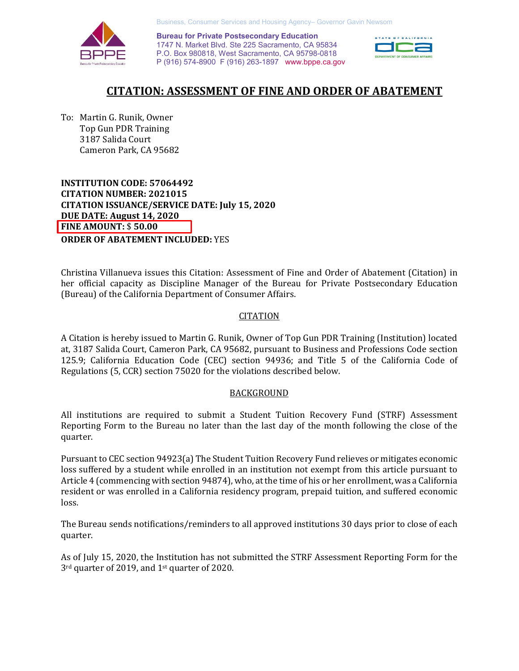Business, Consumer Services and Housing Agency– Governor Gavin Newsom

**Bureau for Private Postsecondary Education** 1747 N. Market Blvd. Ste 225 Sacramento, CA 95834 P.O. Box 980818, West Sacramento, CA 95798-0818 P (916) 574-8900 F (916) 263-1897 [www.bppe.ca.gov](http://www.bppe.ca.gov) 



# **CITATION: ASSESSMENT OF FINE AND ORDER OF ABATEMENT**

To: Martin G. Runik, Owner Top Gun PDR Training 3187 Salida Court Cameron Park, CA 95682

**INSTITUTION CODE: 57064492 CITATION NUMBER: 2021015 CITATION ISSUANCE/SERVICE DATE: July 15, 2020 DUE DATE: August 14, 2020 FINE AMOUNT:** \$ **50.00 ORDER OF ABATEMENT INCLUDED:** YES

Christina Villanueva issues this Citation: Assessment of Fine and Order of Abatement (Citation) in her official capacity as Discipline Manager of the Bureau for Private Postsecondary Education (Bureau) of the California Department of Consumer Affairs.

## **CITATION**

A Citation is hereby issued to Martin G. Runik, Owner of Top Gun PDR Training (Institution) located at, 3187 Salida Court, Cameron Park, CA 95682, pursuant to Business and Professions Code section 125.9; California Education Code (CEC) section 94936; and Title 5 of the California Code of Regulations (5, CCR) section 75020 for the violations described below.

## BACKGROUND

All institutions are required to submit a Student Tuition Recovery Fund (STRF) Assessment Reporting Form to the Bureau no later than the last day of the month following the close of the quarter.

Pursuant to CEC section 94923(a) The Student Tuition Recovery Fund relieves or mitigates economic loss suffered by a student while enrolled in an institution not exempt from this article pursuant to Article 4 (commencing with section 94874), who, at the time of his or her enrollment, was a California resident or was enrolled in a California residency program, prepaid tuition, and suffered economic loss.

The Bureau sends notifications/reminders to all approved institutions 30 days prior to close of each quarter.

As of July 15, 2020, the Institution has not submitted the STRF Assessment Reporting Form for the 3rd quarter of 2019, and 1st quarter of 2020.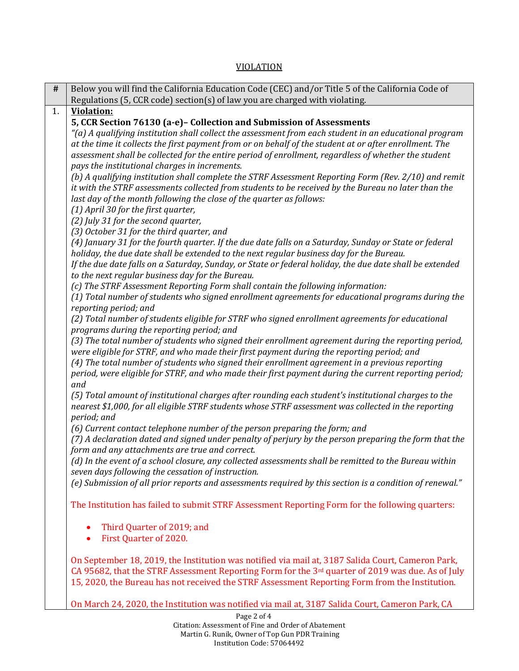# VIOLATION

| #  | Below you will find the California Education Code (CEC) and/or Title 5 of the California Code of                                                      |
|----|-------------------------------------------------------------------------------------------------------------------------------------------------------|
|    | Regulations (5, CCR code) section(s) of law you are charged with violating.                                                                           |
| 1. | <b>Violation:</b>                                                                                                                                     |
|    | 5, CCR Section 76130 (a-e)- Collection and Submission of Assessments                                                                                  |
|    | "(a) A qualifying institution shall collect the assessment from each student in an educational program                                                |
|    | at the time it collects the first payment from or on behalf of the student at or after enrollment. The                                                |
|    | assessment shall be collected for the entire period of enrollment, regardless of whether the student                                                  |
|    | pays the institutional charges in increments.<br>(b) A qualifying institution shall complete the STRF Assessment Reporting Form (Rev. 2/10) and remit |
|    | it with the STRF assessments collected from students to be received by the Bureau no later than the                                                   |
|    | last day of the month following the close of the quarter as follows:                                                                                  |
|    | (1) April 30 for the first quarter,                                                                                                                   |
|    | (2) July 31 for the second quarter,                                                                                                                   |
|    | (3) October 31 for the third quarter, and                                                                                                             |
|    | (4) January 31 for the fourth quarter. If the due date falls on a Saturday, Sunday or State or federal                                                |
|    | holiday, the due date shall be extended to the next regular business day for the Bureau.                                                              |
|    | If the due date falls on a Saturday, Sunday, or State or federal holiday, the due date shall be extended                                              |
|    | to the next regular business day for the Bureau.                                                                                                      |
|    | (c) The STRF Assessment Reporting Form shall contain the following information:                                                                       |
|    | (1) Total number of students who signed enrollment agreements for educational programs during the                                                     |
|    | reporting period; and                                                                                                                                 |
|    | (2) Total number of students eligible for STRF who signed enrollment agreements for educational<br>programs during the reporting period; and          |
|    | (3) The total number of students who signed their enrollment agreement during the reporting period,                                                   |
|    | were eligible for STRF, and who made their first payment during the reporting period; and                                                             |
|    | (4) The total number of students who signed their enrollment agreement in a previous reporting                                                        |
|    | period, were eligible for STRF, and who made their first payment during the current reporting period;                                                 |
|    | and                                                                                                                                                   |
|    | (5) Total amount of institutional charges after rounding each student's institutional charges to the                                                  |
|    | nearest \$1,000, for all eligible STRF students whose STRF assessment was collected in the reporting                                                  |
|    | period; and                                                                                                                                           |
|    | (6) Current contact telephone number of the person preparing the form; and                                                                            |
|    | (7) A declaration dated and signed under penalty of perjury by the person preparing the form that the                                                 |
|    | form and any attachments are true and correct.                                                                                                        |
|    | (d) In the event of a school closure, any collected assessments shall be remitted to the Bureau within                                                |
|    | seven days following the cessation of instruction.                                                                                                    |
|    | (e) Submission of all prior reports and assessments required by this section is a condition of renewal."                                              |
|    | The Institution has failed to submit STRF Assessment Reporting Form for the following quarters:                                                       |
|    |                                                                                                                                                       |
|    | Third Quarter of 2019; and                                                                                                                            |
|    | First Quarter of 2020.                                                                                                                                |
|    | On September 18, 2019, the Institution was notified via mail at, 3187 Salida Court, Cameron Park,                                                     |
|    | CA 95682, that the STRF Assessment Reporting Form for the 3rd quarter of 2019 was due. As of July                                                     |
|    | 15, 2020, the Bureau has not received the STRF Assessment Reporting Form from the Institution.                                                        |
|    |                                                                                                                                                       |
|    | On March 24, 2020, the Institution was notified via mail at, 3187 Salida Court, Cameron Park, CA                                                      |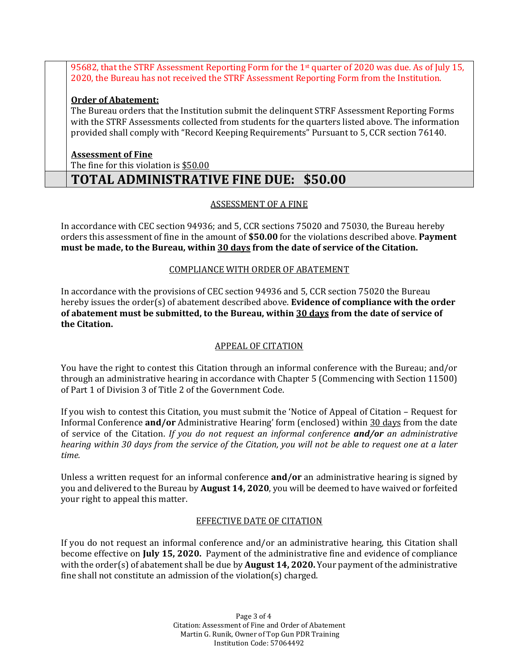95682, that the STRF Assessment Reporting Form for the 1st quarter of 2020 was due. As of July 15, 2020, the Bureau has not received the STRF Assessment Reporting Form from the Institution.

## **Order of Abatement:**

The Bureau orders that the Institution submit the delinquent STRF Assessment Reporting Forms with the STRF Assessments collected from students for the quarters listed above. The information provided shall comply with "Record Keeping Requirements" Pursuant to 5, CCR section 76140.

#### **Assessment of Fine**

The fine for this violation is \$50.00

# **TOTAL ADMINISTRATIVE FINE DUE: \$50.00**

## ASSESSMENT OF A FINE

In accordance with CEC section 94936; and 5, CCR sections 75020 and 75030, the Bureau hereby orders this assessment of fine in the amount of **\$50.00** for the violations described above. **Payment must be made, to the Bureau, within 30 days from the date of service of the Citation.**

#### COMPLIANCE WITH ORDER OF ABATEMENT

In accordance with the provisions of CEC section 94936 and 5, CCR section 75020 the Bureau hereby issues the order(s) of abatement described above. **Evidence of compliance with the order of abatement must be submitted, to the Bureau, within 30 days from the date of service of the Citation.**

## APPEAL OF CITATION

You have the right to contest this Citation through an informal conference with the Bureau; and/or through an administrative hearing in accordance with Chapter 5 (Commencing with Section 11500) of Part 1 of Division 3 of Title 2 of the Government Code.

If you wish to contest this Citation, you must submit the 'Notice of Appeal of Citation – Request for Informal Conference **and/or** Administrative Hearing' form (enclosed) within 30 days from the date of service of the Citation. *If you do not request an informal conference and/or an administrative hearing within 30 days from the service of the Citation, you will not be able to request one at a later time.* 

Unless a written request for an informal conference **and/or** an administrative hearing is signed by you and delivered to the Bureau by **August 14, 2020**, you will be deemed to have waived or forfeited your right to appeal this matter.

## EFFECTIVE DATE OF CITATION

If you do not request an informal conference and/or an administrative hearing, this Citation shall become effective on **July 15, 2020.** Payment of the administrative fine and evidence of compliance with the order(s) of abatement shall be due by **August 14, 2020.** Your payment of the administrative fine shall not constitute an admission of the violation(s) charged.